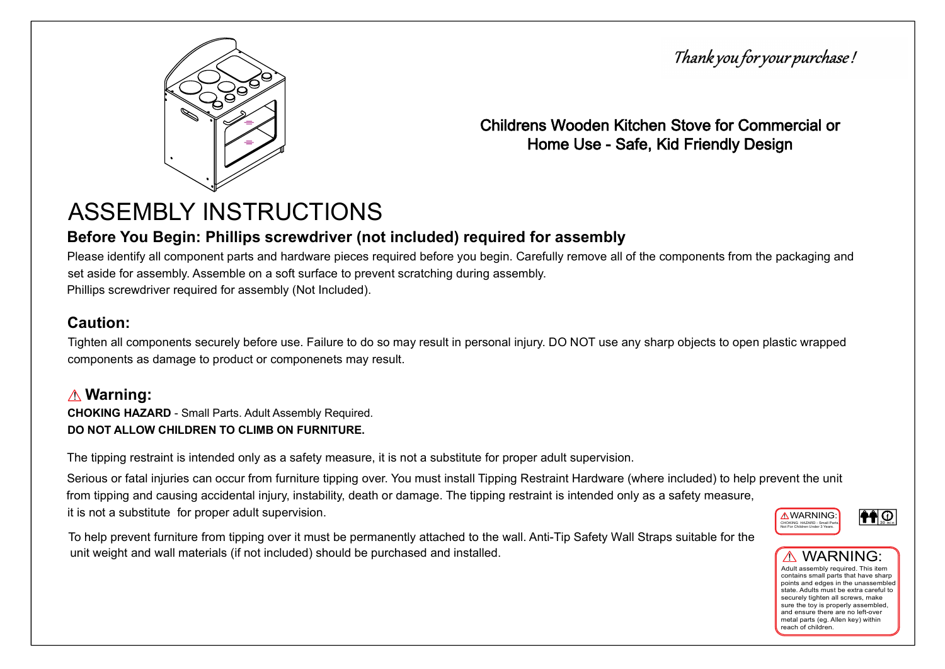



Childrens Wooden Kitchen Stove for Commercial or Home Use - Safe, Kid Friendly Design

## ASSEMBLY INSTRUCTIONS

## Before You Begin: Phillips screwdriver (not included) required for assembly

Please identify all component parts and hardware pieces required before you begin. Carefully remove all of the components from the packaging and set aside for assembly. Assemble on a soft surface to prevent scratching during assembly. Phillips screwdriver required for assembly (Not Included).

## Caution:

Tighten all components securely before use. Failure to do so may result in personal injury. DO NOT use any sharp objects to open plastic wrapped components as damage to product or componenets may result.

## $\mathbf{\hat{\pmb{\wedge}}}$  Warning:

CHOKING HAZARD - Small Parts. Adult Assembly Required. DO NOT ALLOW CHILDREN TO CLIMB ON FURNITURE.

The tipping restraint is intended only as a safety measure, it is not a substitute for proper adult supervision.

Serious or fatal injuries can occur from furniture tipping over. You must install Tipping Restraint Hardware (where included) to help prevent the unit from tipping and causing accidental injury, instability, death or damage. The tipping restraint is intended only as a safety measure, it is not a substitute for proper adult supervision.

To help prevent furniture from tipping over it must be permanently attached to the wall. Anti-Tip Safety Wall Straps suitable for the unit weight and wall materials (if not included) should be purchased and installed.





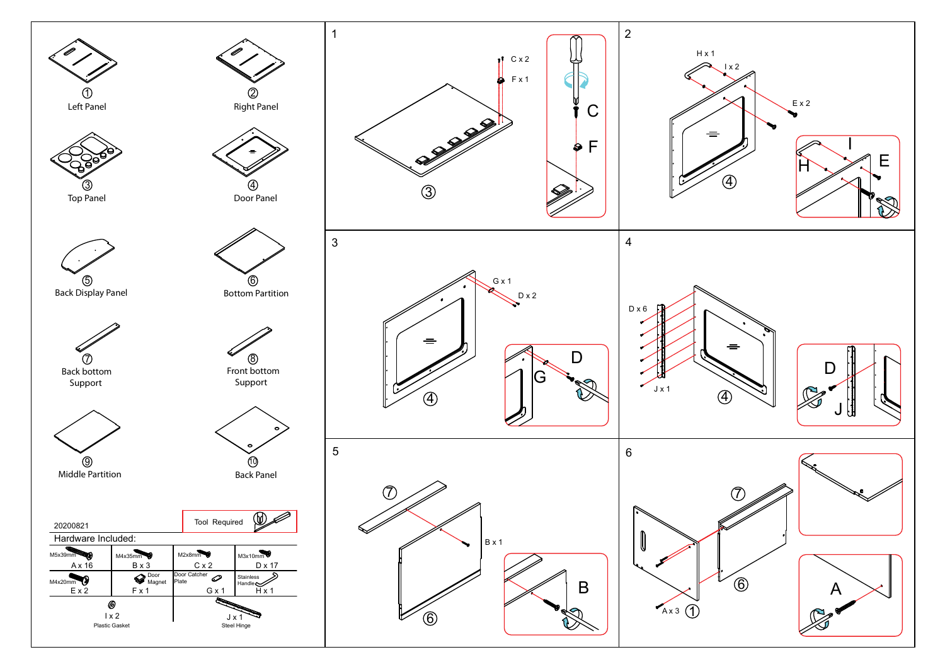